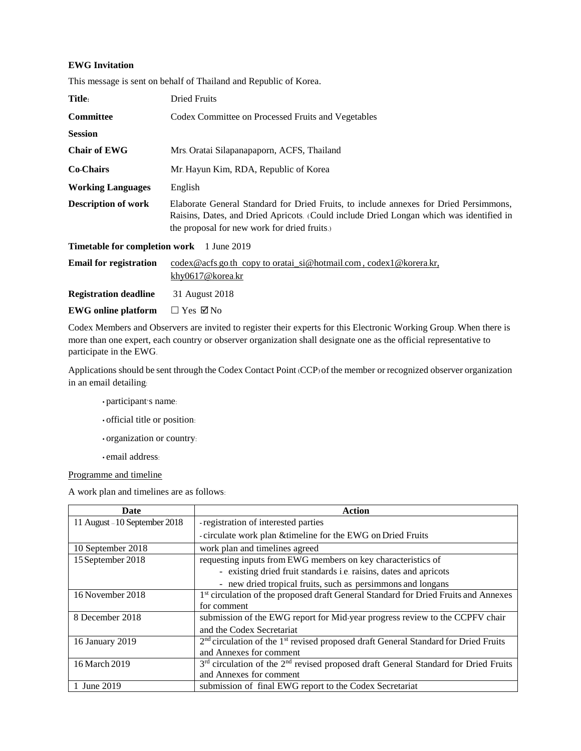## **EWG Invitation**

|  |  | This message is sent on behalf of Thailand and Republic of Korea. |
|--|--|-------------------------------------------------------------------|
|  |  |                                                                   |

| Title:                                           | Dried Fruits                                                                                                                                                                                                                     |  |  |
|--------------------------------------------------|----------------------------------------------------------------------------------------------------------------------------------------------------------------------------------------------------------------------------------|--|--|
| <b>Committee</b>                                 | Codex Committee on Processed Fruits and Vegetables                                                                                                                                                                               |  |  |
| <b>Session</b>                                   |                                                                                                                                                                                                                                  |  |  |
| <b>Chair of EWG</b>                              | Mrs. Oratai Silapanapaporn, ACFS, Thailand                                                                                                                                                                                       |  |  |
| <b>Co-Chairs</b>                                 | Mr. Hayun Kim, RDA, Republic of Korea                                                                                                                                                                                            |  |  |
| <b>Working Languages</b>                         | English                                                                                                                                                                                                                          |  |  |
| <b>Description of work</b>                       | Elaborate General Standard for Dried Fruits, to include annexes for Dried Persimmons,<br>Raisins, Dates, and Dried Apricots. (Could include Dried Longan which was identified in<br>the proposal for new work for dried fruits.) |  |  |
| <b>Timetable for completion work</b> 1 June 2019 |                                                                                                                                                                                                                                  |  |  |
| <b>Email for registration</b>                    | codex@acfs.go.th copy to oratai si@hotmail.com, codex1@korera.kr.<br>khy0617@korea.kr                                                                                                                                            |  |  |
| <b>Registration deadline</b>                     | 31 August 2018                                                                                                                                                                                                                   |  |  |
| <b>EWG</b> online platform                       | $\Box$ Yes $\boxtimes$ No                                                                                                                                                                                                        |  |  |

Codex Members and Observers are invited to register their experts for this Electronic Working Group. When there is more than one expert, each country or observer organization shall designate one as the official representative to participate in the EWG.

Applications should be sent through the Codex Contact Point (CCP) of the member or recognized observer organization in an email detailing:

- participant's name:
- official title or position:
- organization or country:
- email address:

Programme and timeline

A work plan and timelines are as follows:

| Date                          | Action                                                                                                      |
|-------------------------------|-------------------------------------------------------------------------------------------------------------|
| 11 August - 10 September 2018 | - registration of interested parties                                                                        |
|                               | -circulate work plan & timeline for the EWG on Dried Fruits                                                 |
| 10 September 2018             | work plan and timelines agreed                                                                              |
| 15 September 2018             | requesting inputs from EWG members on key characteristics of                                                |
|                               | - existing dried fruit standards i.e. raisins, dates and apricots                                           |
|                               | - new dried tropical fruits, such as persimmons and longans                                                 |
| 16 November 2018              | 1 <sup>st</sup> circulation of the proposed draft General Standard for Dried Fruits and Annexes             |
|                               | for comment                                                                                                 |
| 8 December 2018               | submission of the EWG report for Mid-year progress review to the CCPFV chair                                |
|                               | and the Codex Secretariat                                                                                   |
| 16 January 2019               | 2 <sup>nd</sup> circulation of the 1 <sup>st</sup> revised proposed draft General Standard for Dried Fruits |
|                               | and Annexes for comment                                                                                     |
| 16 March 2019                 | 3rd circulation of the 2 <sup>nd</sup> revised proposed draft General Standard for Dried Fruits             |
|                               | and Annexes for comment                                                                                     |
| June 2019                     | submission of final EWG report to the Codex Secretariat                                                     |